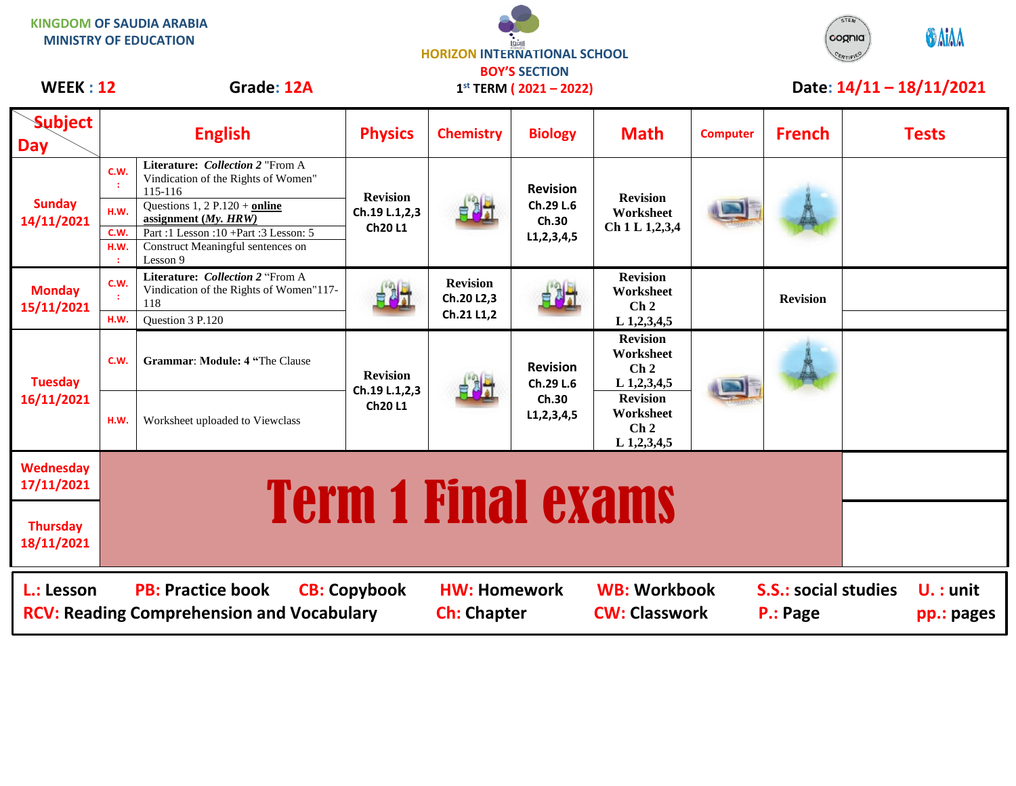| <u>NINGUUIVI UF SAUDIA ANADIA</u><br><b>MINISTRY OF EDUCATION</b>                                                                                                                                                                                        |                              |                                                                                                                                                                                                                                            | <b>HORIZON INTERNATIONAL SCHOOL</b><br><b>BOY'S SECTION</b> |                                             |                                                         |                                                                  |                 |                 | cognia                    | <b>ODAIAA</b>            |
|----------------------------------------------------------------------------------------------------------------------------------------------------------------------------------------------------------------------------------------------------------|------------------------------|--------------------------------------------------------------------------------------------------------------------------------------------------------------------------------------------------------------------------------------------|-------------------------------------------------------------|---------------------------------------------|---------------------------------------------------------|------------------------------------------------------------------|-----------------|-----------------|---------------------------|--------------------------|
| <b>WEEK: 12</b>                                                                                                                                                                                                                                          |                              | Grade: 12A                                                                                                                                                                                                                                 |                                                             |                                             | $1^{st}$ TERM ( 2021 – 2022)                            |                                                                  |                 |                 |                           | Date: 14/11 - 18/11/2021 |
| <b>Subject</b><br><b>Day</b>                                                                                                                                                                                                                             |                              | <b>English</b>                                                                                                                                                                                                                             | <b>Physics</b>                                              | <b>Chemistry</b>                            | <b>Biology</b>                                          | <b>Math</b>                                                      | <b>Computer</b> | <b>French</b>   |                           | <b>Tests</b>             |
| <b>Sunday</b><br>14/11/2021                                                                                                                                                                                                                              | C.W.<br>H.W.<br>C.W.<br>H.W. | Literature: Collection 2 "From A<br>Vindication of the Rights of Women"<br>115-116<br>Questions $1, 2$ P.120 + online<br>assignment $(My, HRW)$<br>Part: 1 Lesson: 10 + Part: 3 Lesson: 5<br>Construct Meaningful sentences on<br>Lesson 9 | <b>Revision</b><br>Ch.19 L.1,2,3<br>Ch20L1                  |                                             | <b>Revision</b><br>Ch.29 L.6<br>Ch.30<br>L1, 2, 3, 4, 5 | <b>Revision</b><br>Worksheet<br>Ch 1 L 1,2,3,4                   |                 |                 |                           |                          |
| <b>Monday</b><br>15/11/2021                                                                                                                                                                                                                              | C.W.<br>H.W.                 | Literature: Collection 2 "From A<br>Vindication of the Rights of Women"117-<br>118<br>Question 3 P.120                                                                                                                                     | 自己才                                                         | <b>Revision</b><br>Ch.20 L2,3<br>Ch.21 L1,2 | $\frac{1}{2}$                                           | <b>Revision</b><br>Worksheet<br>$\mathbf{Ch}\,2$<br>L 1,2,3,4,5  |                 | <b>Revision</b> |                           |                          |
| <b>Tuesday</b><br>16/11/2021                                                                                                                                                                                                                             | C.W.                         | <b>Grammar: Module: 4 "The Clause</b>                                                                                                                                                                                                      | <b>Revision</b><br>Ch.19 L.1,2,3<br>Ch20L1                  |                                             | <b>Revision</b><br>Ch.29 L.6<br>Ch.30<br>L1, 2, 3, 4, 5 | <b>Revision</b><br>Worksheet<br>Ch <sub>2</sub><br>$L$ 1,2,3,4,5 |                 |                 |                           |                          |
|                                                                                                                                                                                                                                                          | H.W.                         | Worksheet uploaded to Viewclass                                                                                                                                                                                                            |                                                             |                                             |                                                         | <b>Revision</b><br>Worksheet<br>Ch <sub>2</sub><br>$L$ 1,2,3,4,5 |                 |                 |                           |                          |
| Wednesday<br>17/11/2021                                                                                                                                                                                                                                  | <b>Term 1 Final exams</b>    |                                                                                                                                                                                                                                            |                                                             |                                             |                                                         |                                                                  |                 |                 |                           |                          |
| <b>Thursday</b><br>18/11/2021                                                                                                                                                                                                                            |                              |                                                                                                                                                                                                                                            |                                                             |                                             |                                                         |                                                                  |                 |                 |                           |                          |
| L.: Lesson<br><b>PB: Practice book</b><br><b>CB: Copybook</b><br><b>WB: Workbook</b><br><b>S.S.: social studies</b><br><b>HW: Homework</b><br><b>RCV: Reading Comprehension and Vocabulary</b><br><b>CW: Classwork</b><br><b>Ch: Chapter</b><br>P.: Page |                              |                                                                                                                                                                                                                                            |                                                             |                                             |                                                         |                                                                  |                 |                 | $U.$ : unit<br>pp.: pages |                          |

 $\bullet$ 

STEM

**KINGDOM OF SAUDIA ARABIA**